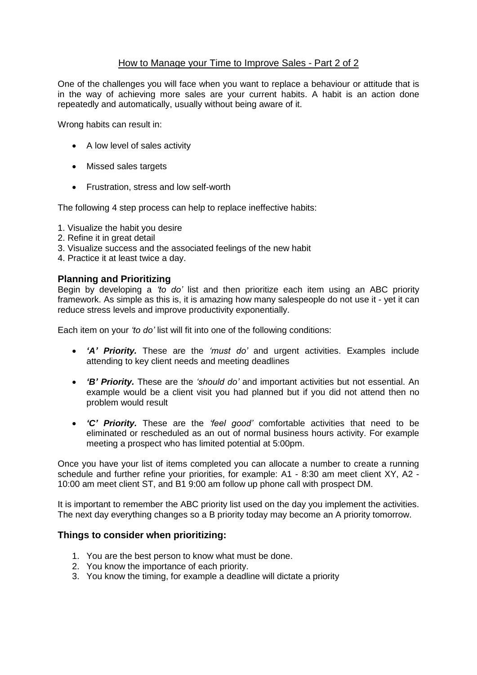## How to Manage your Time to Improve Sales - Part 2 of 2

One of the challenges you will face when you want to replace a behaviour or attitude that is in the way of achieving more sales are your current habits. A habit is an action done repeatedly and automatically, usually without being aware of it.

Wrong habits can result in:

- A low level of sales activity
- Missed sales targets
- Frustration, stress and low self-worth

The following 4 step process can help to replace ineffective habits:

- 1. Visualize the habit you desire
- 2. Refine it in great detail
- 3. Visualize success and the associated feelings of the new habit
- 4. Practice it at least twice a day.

#### **Planning and Prioritizing**

Begin by developing a *'to do'* list and then prioritize each item using an ABC priority framework. As simple as this is, it is amazing how many salespeople do not use it - yet it can reduce stress levels and improve productivity exponentially.

Each item on your *'to do'* list will fit into one of the following conditions:

- *'A' Priority.* These are the *'must do'* and urgent activities. Examples include attending to key client needs and meeting deadlines
- *'B' Priority.* These are the *'should do'* and important activities but not essential. An example would be a client visit you had planned but if you did not attend then no problem would result
- *'C' Priority.* These are the *'feel good'* comfortable activities that need to be eliminated or rescheduled as an out of normal business hours activity. For example meeting a prospect who has limited potential at 5:00pm.

Once you have your list of items completed you can allocate a number to create a running schedule and further refine your priorities, for example: A1 - 8:30 am meet client XY, A2 - 10:00 am meet client ST, and B1 9:00 am follow up phone call with prospect DM.

It is important to remember the ABC priority list used on the day you implement the activities. The next day everything changes so a B priority today may become an A priority tomorrow.

### **Things to consider when prioritizing:**

- 1. You are the best person to know what must be done.
- 2. You know the importance of each priority.
- 3. You know the timing, for example a deadline will dictate a priority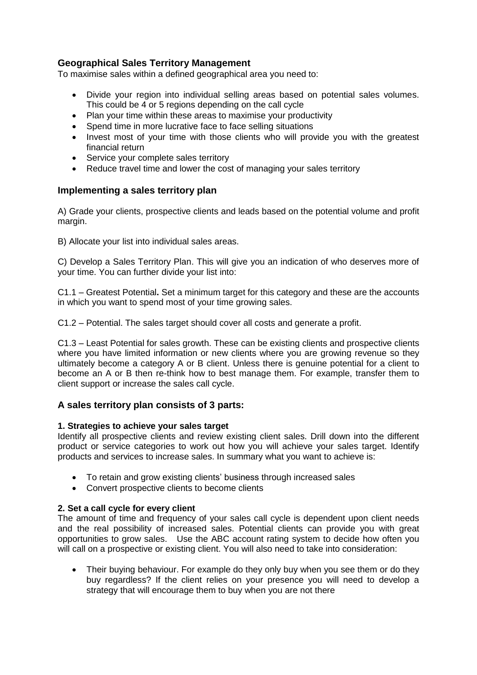# **Geographical Sales Territory Management**

To maximise sales within a defined geographical area you need to:

- Divide your region into individual selling areas based on potential sales volumes. This could be 4 or 5 regions depending on the call cycle
- Plan your time within these areas to maximise your productivity
- Spend time in more lucrative face to face selling situations
- Invest most of your time with those clients who will provide you with the greatest financial return
- Service your complete sales territory
- Reduce travel time and lower the cost of managing your sales territory

### **Implementing a sales territory plan**

A) Grade your clients, prospective clients and leads based on the potential volume and profit margin.

B) Allocate your list into individual sales areas.

C) Develop a Sales Territory Plan. This will give you an indication of who deserves more of your time. You can further divide your list into:

C1.1 – Greatest Potential**.** Set a minimum target for this category and these are the accounts in which you want to spend most of your time growing sales.

C1.2 – Potential. The sales target should cover all costs and generate a profit.

C1.3 – Least Potential for sales growth. These can be existing clients and prospective clients where you have limited information or new clients where you are growing revenue so they ultimately become a category A or B client. Unless there is genuine potential for a client to become an A or B then re-think how to best manage them. For example, transfer them to client support or increase the sales call cycle.

# **A sales territory plan consists of 3 parts:**

### **1. Strategies to achieve your sales target**

Identify all prospective clients and review existing client sales. Drill down into the different product or service categories to work out how you will achieve your sales target. Identify products and services to increase sales. In summary what you want to achieve is:

- To retain and grow existing clients' business through increased sales
- Convert prospective clients to become clients

### **2. Set a call cycle for every client**

The amount of time and frequency of your sales call cycle is dependent upon client needs and the real possibility of increased sales. Potential clients can provide you with great opportunities to grow sales. Use the ABC account rating system to decide how often you will call on a prospective or existing client. You will also need to take into consideration:

• Their buying behaviour. For example do they only buy when you see them or do they buy regardless? If the client relies on your presence you will need to develop a strategy that will encourage them to buy when you are not there